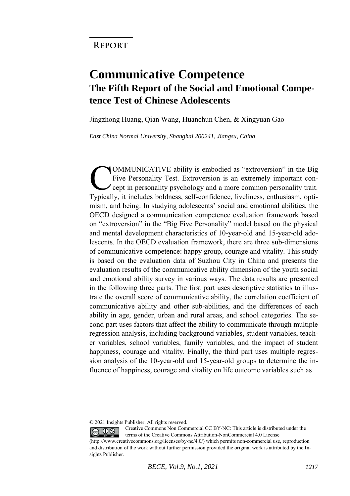## **Communicative Competence The Fifth Report of the Social and Emotional Competence Test of Chinese Adolescents**

Jingzhong Huang, Qian Wang, Huanchun Chen, & Xingyuan Gao

*East China Normal University, Shanghai 200241, Jiangsu, China* 

OMMUNICATIVE ability is embodied as "extroversion" in the Big Five Personality Test. Extroversion is an extremely important concept in personality psychology and a more common personality trait. COMMUNICATIVE ability is embodied as "extroversion" in the Big<br>Five Personality Test. Extroversion is an extremely important con-<br>cept in personality psychology and a more common personality trait.<br>Typically, it includes b mism, and being. In studying adolescents' social and emotional abilities, the OECD designed a communication competence evaluation framework based on "extroversion" in the "Big Five Personality" model based on the physical and mental development characteristics of 10-year-old and 15-year-old adolescents. In the OECD evaluation framework, there are three sub-dimensions of communicative competence: happy group, courage and vitality. This study is based on the evaluation data of Suzhou City in China and presents the evaluation results of the communicative ability dimension of the youth social and emotional ability survey in various ways. The data results are presented in the following three parts. The first part uses descriptive statistics to illustrate the overall score of communicative ability, the correlation coefficient of communicative ability and other sub-abilities, and the differences of each ability in age, gender, urban and rural areas, and school categories. The second part uses factors that affect the ability to communicate through multiple regression analysis, including background variables, student variables, teacher variables, school variables, family variables, and the impact of student happiness, courage and vitality. Finally, the third part uses multiple regression analysis of the 10-year-old and 15-year-old groups to determine the influence of happiness, courage and vitality on life outcome variables such as

<sup>© 2021</sup> Insights Publisher. All rights reserved.

Creative Commons Non Commercial CC BY-NC: This article is distributed under the  $\odot$   $\odot$ terms of the Creative Commons Attribution-NonCommercial 4.0 License (http://www.creativecommons.org/licenses/by-nc/4.0/) which permits non-commercial use, reproduction

and distribution of the work without further permission provided the original work is attributed by the Insights Publisher.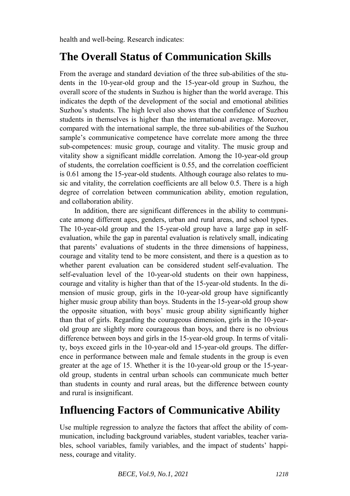health and well-being. Research indicates:

## **The Overall Status of Communication Skills**

From the average and standard deviation of the three sub-abilities of the students in the 10-year-old group and the 15-year-old group in Suzhou, the overall score of the students in Suzhou is higher than the world average. This indicates the depth of the development of the social and emotional abilities Suzhou's students. The high level also shows that the confidence of Suzhou students in themselves is higher than the international average. Moreover, compared with the international sample, the three sub-abilities of the Suzhou sample's communicative competence have correlate more among the three sub-competences: music group, courage and vitality. The music group and vitality show a significant middle correlation. Among the 10-year-old group of students, the correlation coefficient is 0.55, and the correlation coefficient is 0.61 among the 15-year-old students. Although courage also relates to music and vitality, the correlation coefficients are all below 0.5. There is a high degree of correlation between communication ability, emotion regulation, and collaboration ability.

In addition, there are significant differences in the ability to communicate among different ages, genders, urban and rural areas, and school types. The 10-year-old group and the 15-year-old group have a large gap in selfevaluation, while the gap in parental evaluation is relatively small, indicating that parents' evaluations of students in the three dimensions of happiness, courage and vitality tend to be more consistent, and there is a question as to whether parent evaluation can be considered student self-evaluation. The self-evaluation level of the 10-year-old students on their own happiness, courage and vitality is higher than that of the 15-year-old students. In the dimension of music group, girls in the 10-year-old group have significantly higher music group ability than boys. Students in the 15-year-old group show the opposite situation, with boys' music group ability significantly higher than that of girls. Regarding the courageous dimension, girls in the 10-yearold group are slightly more courageous than boys, and there is no obvious difference between boys and girls in the 15-year-old group. In terms of vitality, boys exceed girls in the 10-year-old and 15-year-old groups. The difference in performance between male and female students in the group is even greater at the age of 15. Whether it is the 10-year-old group or the 15-yearold group, students in central urban schools can communicate much better than students in county and rural areas, but the difference between county and rural is insignificant.

## **Influencing Factors of Communicative Ability**

Use multiple regression to analyze the factors that affect the ability of communication, including background variables, student variables, teacher variables, school variables, family variables, and the impact of students' happiness, courage and vitality.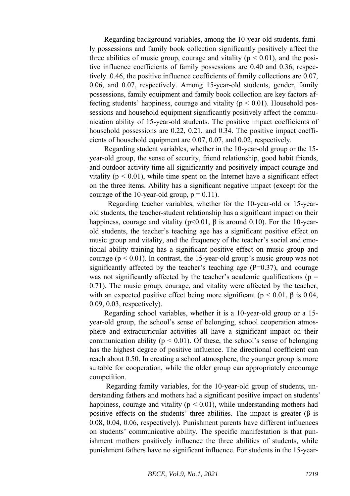Regarding background variables, among the 10-year-old students, family possessions and family book collection significantly positively affect the three abilities of music group, courage and vitality ( $p \le 0.01$ ), and the positive influence coefficients of family possessions are 0.40 and 0.36, respectively. 0.46, the positive influence coefficients of family collections are 0.07, 0.06, and 0.07, respectively. Among 15-year-old students, gender, family possessions, family equipment and family book collection are key factors affecting students' happiness, courage and vitality ( $p < 0.01$ ). Household possessions and household equipment significantly positively affect the communication ability of 15-year-old students. The positive impact coefficients of household possessions are 0.22, 0.21, and 0.34. The positive impact coefficients of household equipment are 0.07, 0.07, and 0.02, respectively.

Regarding student variables, whether in the 10-year-old group or the 15 year-old group, the sense of security, friend relationship, good habit friends, and outdoor activity time all significantly and positively impact courage and vitality ( $p < 0.01$ ), while time spent on the Internet have a significant effect on the three items. Ability has a significant negative impact (except for the courage of the 10-year-old group,  $p = 0.11$ ).

 Regarding teacher variables, whether for the 10-year-old or 15-yearold students, the teacher-student relationship has a significant impact on their happiness, courage and vitality ( $p<0.01$ ,  $\beta$  is around 0.10). For the 10-yearold students, the teacher's teaching age has a significant positive effect on music group and vitality, and the frequency of the teacher's social and emotional ability training has a significant positive effect on music group and courage ( $p < 0.01$ ). In contrast, the 15-year-old group's music group was not significantly affected by the teacher's teaching age  $(P=0.37)$ , and courage was not significantly affected by the teacher's academic qualifications ( $p =$ 0.71). The music group, courage, and vitality were affected by the teacher, with an expected positive effect being more significant ( $p < 0.01$ ,  $\beta$  is 0.04, 0.09, 0.03, respectively).

Regarding school variables, whether it is a 10-year-old group or a 15 year-old group, the school's sense of belonging, school cooperation atmosphere and extracurricular activities all have a significant impact on their communication ability ( $p \le 0.01$ ). Of these, the school's sense of belonging has the highest degree of positive influence. The directional coefficient can reach about 0.50. In creating a school atmosphere, the younger group is more suitable for cooperation, while the older group can appropriately encourage competition.

Regarding family variables, for the 10-year-old group of students, understanding fathers and mothers had a significant positive impact on students' happiness, courage and vitality ( $p \le 0.01$ ), while understanding mothers had positive effects on the students' three abilities. The impact is greater (β is 0.08, 0.04, 0.06, respectively). Punishment parents have different influences on students' communicative ability. The specific manifestation is that punishment mothers positively influence the three abilities of students, while punishment fathers have no significant influence. For students in the 15-year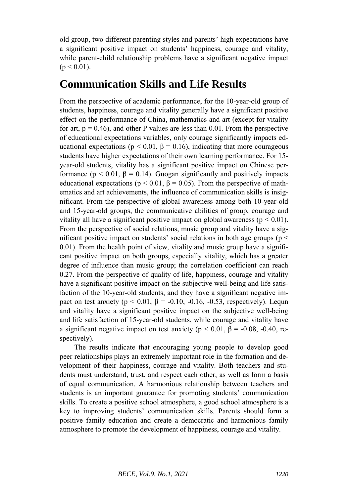old group, two different parenting styles and parents' high expectations have a significant positive impact on students' happiness, courage and vitality, while parent-child relationship problems have a significant negative impact  $(p < 0.01)$ .

## **Communication Skills and Life Results**

From the perspective of academic performance, for the 10-year-old group of students, happiness, courage and vitality generally have a significant positive effect on the performance of China, mathematics and art (except for vitality for art,  $p = 0.46$ ), and other P values are less than 0.01. From the perspective of educational expectations variables, only courage significantly impacts educational expectations ( $p < 0.01$ ,  $\beta = 0.16$ ), indicating that more courageous students have higher expectations of their own learning performance. For 15 year-old students, vitality has a significant positive impact on Chinese performance ( $p < 0.01$ ,  $\beta = 0.14$ ). Guogan significantly and positively impacts educational expectations ( $p < 0.01$ ,  $\beta = 0.05$ ). From the perspective of mathematics and art achievements, the influence of communication skills is insignificant. From the perspective of global awareness among both 10-year-old and 15-year-old groups, the communicative abilities of group, courage and vitality all have a significant positive impact on global awareness ( $p < 0.01$ ). From the perspective of social relations, music group and vitality have a significant positive impact on students' social relations in both age groups ( $p <$ 0.01). From the health point of view, vitality and music group have a significant positive impact on both groups, especially vitality, which has a greater degree of influence than music group; the correlation coefficient can reach 0.27. From the perspective of quality of life, happiness, courage and vitality have a significant positive impact on the subjective well-being and life satisfaction of the 10-year-old students, and they have a significant negative impact on test anxiety ( $p < 0.01$ ,  $\beta = -0.10$ ,  $-0.16$ ,  $-0.53$ , respectively). Lequn and vitality have a significant positive impact on the subjective well-being and life satisfaction of 15-year-old students, while courage and vitality have a significant negative impact on test anxiety ( $p < 0.01$ ,  $\beta = -0.08$ ,  $-0.40$ , respectively).

The results indicate that encouraging young people to develop good peer relationships plays an extremely important role in the formation and development of their happiness, courage and vitality. Both teachers and students must understand, trust, and respect each other, as well as form a basis of equal communication. A harmonious relationship between teachers and students is an important guarantee for promoting students' communication skills. To create a positive school atmosphere, a good school atmosphere is a key to improving students' communication skills. Parents should form a positive family education and create a democratic and harmonious family atmosphere to promote the development of happiness, courage and vitality.